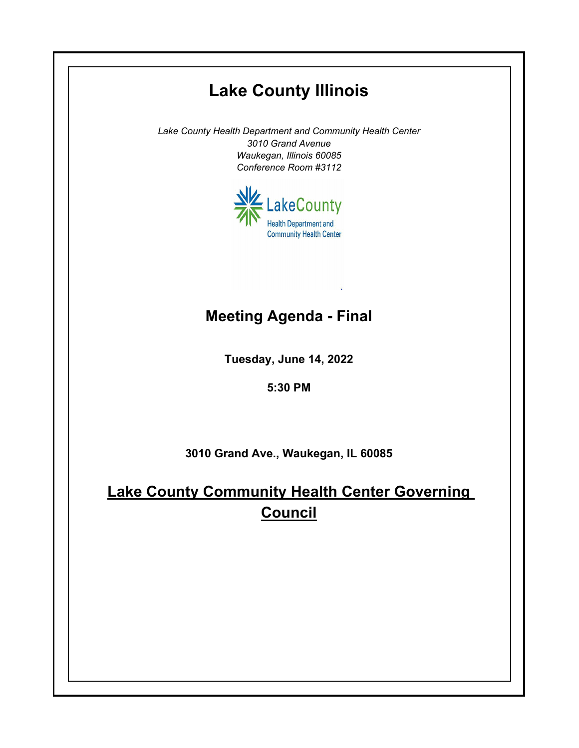## **Lake County Illinois** *Lake County Health Department and Community Health Center 3010 Grand Avenue Waukegan, Illinois 60085 Conference Room #3112* LakeCounty **Health Department and Community Health Center Meeting Agenda - FinalTuesday, June 14, 2022 5:30 PM 3010 Grand Ave., Waukegan, IL 60085 Lake County Community Health Center Governing Council**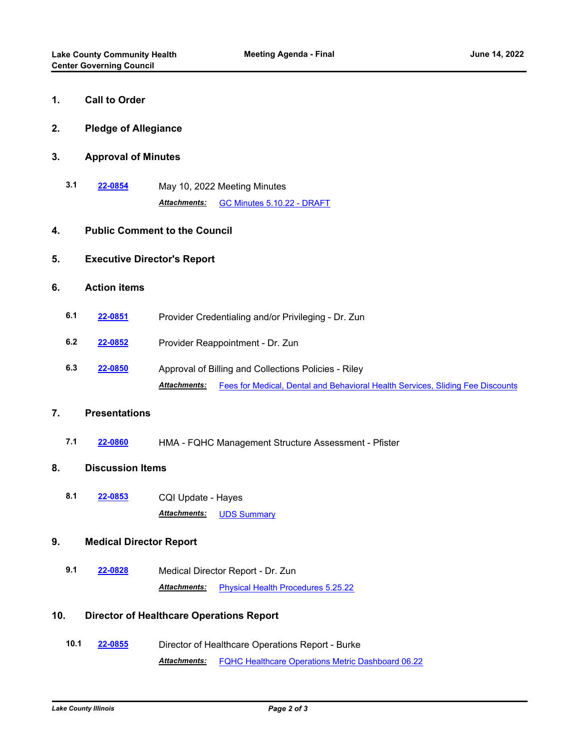**6. Action items**

| 1.  | <b>Call to Order</b>                 |                                                                                                                                                               |
|-----|--------------------------------------|---------------------------------------------------------------------------------------------------------------------------------------------------------------|
| 2.  | <b>Pledge of Allegiance</b>          |                                                                                                                                                               |
| 3.  | <b>Approval of Minutes</b>           |                                                                                                                                                               |
| 3.1 | 22-0854                              | May 10, 2022 Meeting Minutes<br>Attachments:<br>GC Minutes 5.10.22 - DRAFT                                                                                    |
| 4.  | <b>Public Comment to the Council</b> |                                                                                                                                                               |
| 5.  | <b>Executive Director's Report</b>   |                                                                                                                                                               |
| 6.  | <b>Action items</b>                  |                                                                                                                                                               |
| 6.1 | 22-0851                              | Provider Credentialing and/or Privileging - Dr. Zun                                                                                                           |
| 6.2 | 22-0852                              | Provider Reappointment - Dr. Zun                                                                                                                              |
| 6.3 | 22-0850                              | Approval of Billing and Collections Policies - Riley<br><b>Attachments:</b><br>Fees for Medical, Dental and Behavioral Health Services, Sliding Fee Discounts |
| 7.  | <b>Presentations</b>                 |                                                                                                                                                               |
| 7.1 | 22-0860                              | HMA - FQHC Management Structure Assessment - Pfister                                                                                                          |
| 8.  | <b>Discussion Items</b>              |                                                                                                                                                               |
| 8.1 | 22-0853                              | CQI Update - Hayes<br><b>UDS Summary</b><br>Attachments:                                                                                                      |
| 9.  | <b>Medical Director Report</b>       |                                                                                                                                                               |
| 9.1 | 22-0828                              | Medical Director Report - Dr. Zun<br>Attachments:<br><b>Physical Health Procedures 5.25.22</b>                                                                |

## **10. Director of Healthcare Operations Report**

**10.1 [22-0855](http://lakecounty.legistar.com/gateway.aspx?m=l&id=/matter.aspx?key=26641)** Director of Healthcare Operations Report - Burke *Attachments:* [FQHC Healthcare Operations Metric Dashboard 06.22](http://lakecounty.legistar.com/gateway.aspx?M=F&ID=687020f1-072b-4261-8782-6de7536a110e.pdf)